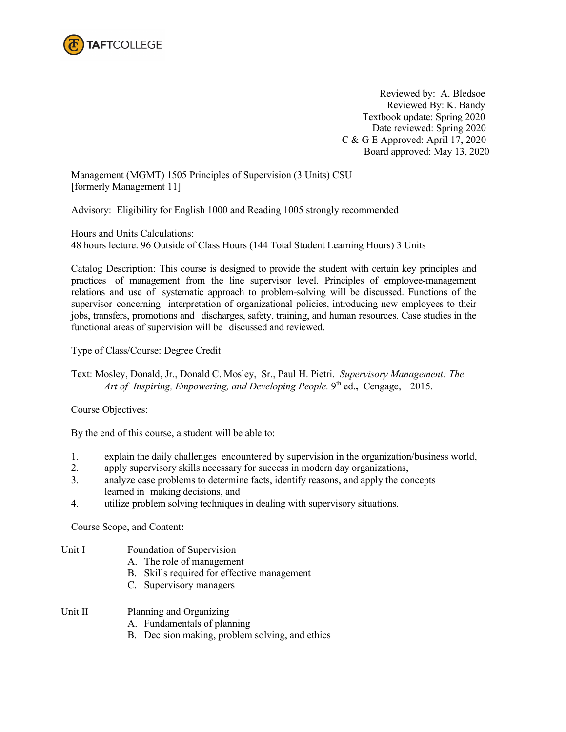

Reviewed by: A. Bledsoe Reviewed By: K. Bandy Textbook update: Spring 2020 Date reviewed: Spring 2020 C & G E Approved: April 17, 2020 Board approved: May 13, 2020

Management (MGMT) 1505 Principles of Supervision (3 Units) CSU [formerly Management 11]

Advisory: Eligibility for English 1000 and Reading 1005 strongly recommended

Hours and Units Calculations: 48 hours lecture. 96 Outside of Class Hours (144 Total Student Learning Hours) 3 Units

Catalog Description: This course is designed to provide the student with certain key principles and practices of management from the line supervisor level. Principles of employee-management relations and use of systematic approach to problem-solving will be discussed. Functions of the supervisor concerning interpretation of organizational policies, introducing new employees to their jobs, transfers, promotions and discharges, safety, training, and human resources. Case studies in the functional areas of supervision will be discussed and reviewed.

Type of Class/Course: Degree Credit

Text: Mosley, Donald, Jr., Donald C. Mosley, Sr., Paul H. Pietri. *Supervisory Management: The Art of Inspiring, Empowering, and Developing People.* 9th ed.**,** Cengage, 2015.

Course Objectives:

By the end of this course, a student will be able to:

- 1. explain the daily challenges encountered by supervision in the organization/business world,
- 2. apply supervisory skills necessary for success in modern day organizations,
- 3. analyze case problems to determine facts, identify reasons, and apply the concepts learned in making decisions, and
- 4. utilize problem solving techniques in dealing with supervisory situations.

Course Scope, and Content**:**

- Unit I Foundation of Supervision
	- A. The role of management
	- B. Skills required for effective management
	- C. Supervisory managers
- Unit II Planning and Organizing
	- A. Fundamentals of planning
	- B. Decision making, problem solving, and ethics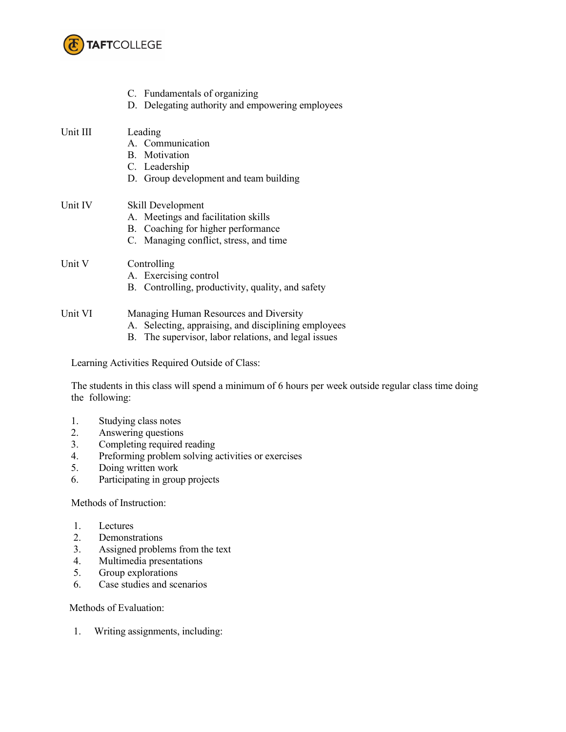

|          | C. Fundamentals of organizing<br>D. Delegating authority and empowering employees                                                                      |
|----------|--------------------------------------------------------------------------------------------------------------------------------------------------------|
| Unit III | Leading<br>A. Communication<br>B. Motivation<br>C. Leadership<br>D. Group development and team building                                                |
| Unit IV  | Skill Development<br>A. Meetings and facilitation skills<br>B. Coaching for higher performance<br>C. Managing conflict, stress, and time               |
| Unit V   | Controlling<br>A. Exercising control<br>B. Controlling, productivity, quality, and safety                                                              |
| Unit VI  | Managing Human Resources and Diversity<br>A. Selecting, appraising, and disciplining employees<br>B. The supervisor, labor relations, and legal issues |

Learning Activities Required Outside of Class:

The students in this class will spend a minimum of 6 hours per week outside regular class time doing the following:

- 1. Studying class notes
- 2. Answering questions<br>3. Completing required
- Completing required reading
- 4. Preforming problem solving activities or exercises<br>5. Doing written work
- 5. Doing written work
- 6. Participating in group projects

Methods of Instruction:

- 1. Lectures
- 2. Demonstrations
- 3. Assigned problems from the text<br>4. Multimedia presentations
- Multimedia presentations
- 5. Group explorations
- 6. Case studies and scenarios

Methods of Evaluation:

1. Writing assignments, including: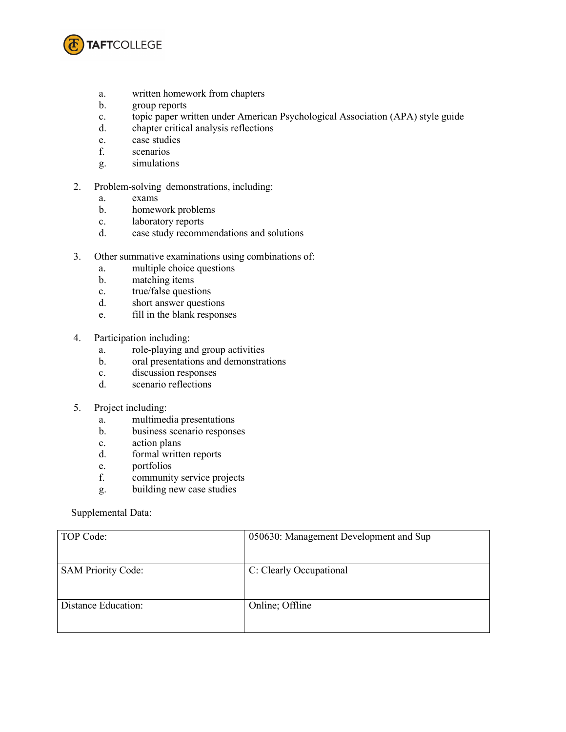

- a. written homework from chapters
- b. group reports
- c. topic paper written under American Psychological Association (APA) style guide
- d. chapter critical analysis reflections
- e. case studies
- f. scenarios
- g. simulations
- 2. Problem-solving demonstrations, including:
	- a. exams
	- b. homework problems
	- c. laboratory reports
	- d. case study recommendations and solutions
- 3. Other summative examinations using combinations of:
	- a. multiple choice questions
	- b. matching items
	- c. true/false questions
	- d. short answer questions
	- e. fill in the blank responses
- 4. Participation including:
	- a. role-playing and group activities
	- b. oral presentations and demonstrations
	- c. discussion responses
	- d. scenario reflections
- 5. Project including:
	- a. multimedia presentations
	- b. business scenario responses
	- c. action plans
	- d. formal written reports
	- e. portfolios
	- f. community service projects
	- g. building new case studies

## Supplemental Data:

| TOP Code:                 | 050630: Management Development and Sup |
|---------------------------|----------------------------------------|
| <b>SAM Priority Code:</b> | C: Clearly Occupational                |
| Distance Education:       | Online; Offline                        |